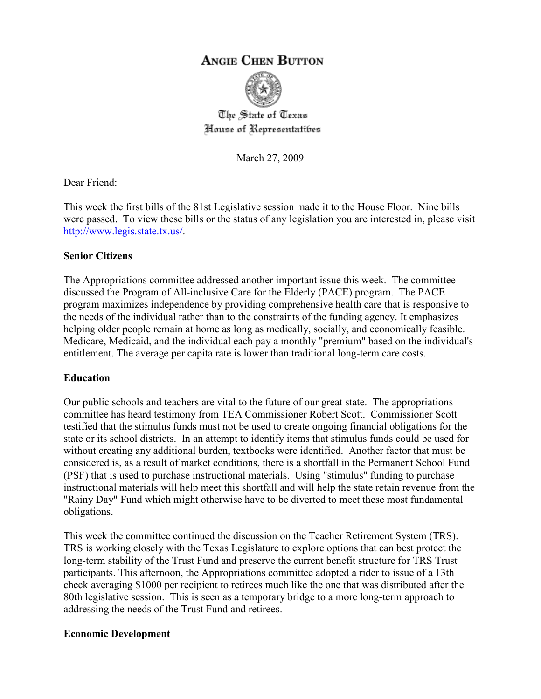# **ANGIE CHEN BUTTON**



The State of Texas House of Representatibes

March 27, 2009

Dear Friend:

This week the first bills of the 81st Legislative session made it to the House Floor. Nine bills were passed. To view these bills or the status of any legislation you are interested in, please visit http://www.legis.state.tx.us/.

### **Senior Citizens**

The Appropriations committee addressed another important issue this week. The committee discussed the Program of All-inclusive Care for the Elderly (PACE) program. The PACE program maximizes independence by providing comprehensive health care that is responsive to the needs of the individual rather than to the constraints of the funding agency. It emphasizes helping older people remain at home as long as medically, socially, and economically feasible. Medicare, Medicaid, and the individual each pay a monthly "premium" based on the individual's entitlement. The average per capita rate is lower than traditional long-term care costs.

## **Education**

Our public schools and teachers are vital to the future of our great state. The appropriations committee has heard testimony from TEA Commissioner Robert Scott. Commissioner Scott testified that the stimulus funds must not be used to create ongoing financial obligations for the state or its school districts. In an attempt to identify items that stimulus funds could be used for without creating any additional burden, textbooks were identified. Another factor that must be considered is, as a result of market conditions, there is a shortfall in the Permanent School Fund (PSF) that is used to purchase instructional materials. Using "stimulus" funding to purchase instructional materials will help meet this shortfall and will help the state retain revenue from the "Rainy Day" Fund which might otherwise have to be diverted to meet these most fundamental obligations.

This week the committee continued the discussion on the Teacher Retirement System (TRS). TRS is working closely with the Texas Legislature to explore options that can best protect the long-term stability of the Trust Fund and preserve the current benefit structure for TRS Trust participants. This afternoon, the Appropriations committee adopted a rider to issue of a 13th check averaging \$1000 per recipient to retirees much like the one that was distributed after the 80th legislative session. This is seen as a temporary bridge to a more long-term approach to addressing the needs of the Trust Fund and retirees.

#### **Economic Development**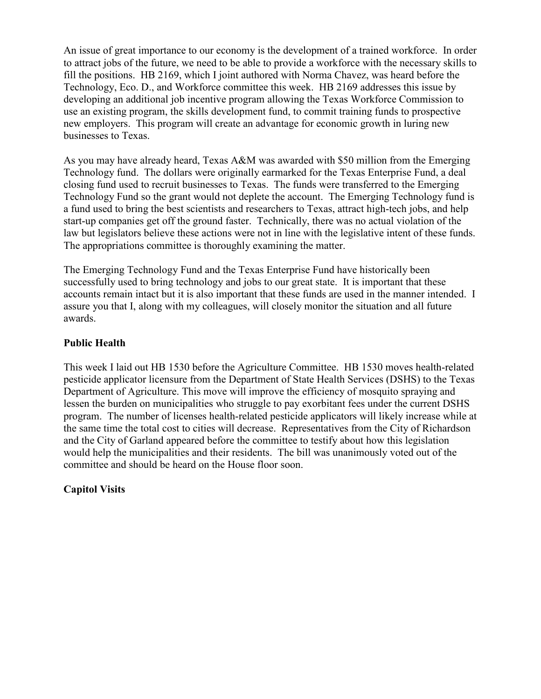An issue of great importance to our economy is the development of a trained workforce. In order to attract jobs of the future, we need to be able to provide a workforce with the necessary skills to fill the positions. HB 2169, which I joint authored with Norma Chavez, was heard before the Technology, Eco. D., and Workforce committee this week. HB 2169 addresses this issue by developing an additional job incentive program allowing the Texas Workforce Commission to use an existing program, the skills development fund, to commit training funds to prospective new employers. This program will create an advantage for economic growth in luring new businesses to Texas.

As you may have already heard, Texas A&M was awarded with \$50 million from the Emerging Technology fund. The dollars were originally earmarked for the Texas Enterprise Fund, a deal closing fund used to recruit businesses to Texas. The funds were transferred to the Emerging Technology Fund so the grant would not deplete the account. The Emerging Technology fund is a fund used to bring the best scientists and researchers to Texas, attract high-tech jobs, and help start-up companies get off the ground faster. Technically, there was no actual violation of the law but legislators believe these actions were not in line with the legislative intent of these funds. The appropriations committee is thoroughly examining the matter.

The Emerging Technology Fund and the Texas Enterprise Fund have historically been successfully used to bring technology and jobs to our great state. It is important that these accounts remain intact but it is also important that these funds are used in the manner intended. I assure you that I, along with my colleagues, will closely monitor the situation and all future awards.

## **Public Health**

This week I laid out HB 1530 before the Agriculture Committee. HB 1530 moves health-related pesticide applicator licensure from the Department of State Health Services (DSHS) to the Texas Department of Agriculture. This move will improve the efficiency of mosquito spraying and lessen the burden on municipalities who struggle to pay exorbitant fees under the current DSHS program. The number of licenses health-related pesticide applicators will likely increase while at the same time the total cost to cities will decrease. Representatives from the City of Richardson and the City of Garland appeared before the committee to testify about how this legislation would help the municipalities and their residents. The bill was unanimously voted out of the committee and should be heard on the House floor soon.

## **Capitol Visits**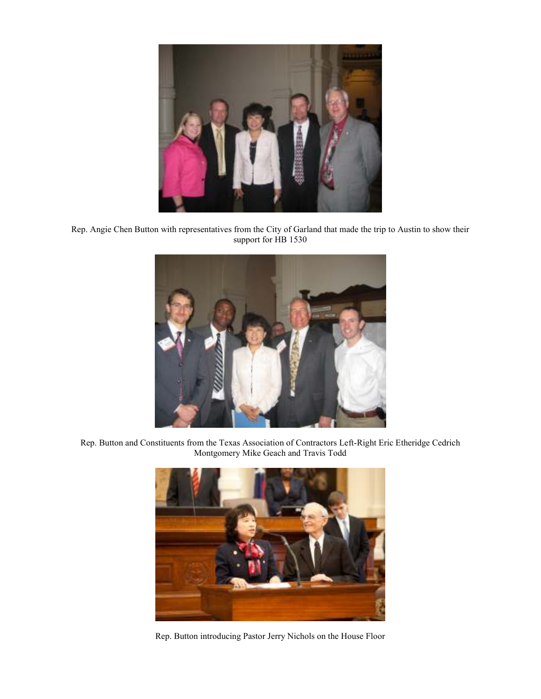

Rep. Angie Chen Button with representatives from the City of Garland that made the trip to Austin to show their support for HB 1530



Rep. Button and Constituents from the Texas Association of Contractors Left-Right Eric Etheridge Cedrich Montgomery Mike Geach and Travis Todd



Rep. Button introducing Pastor Jerry Nichols on the House Floor